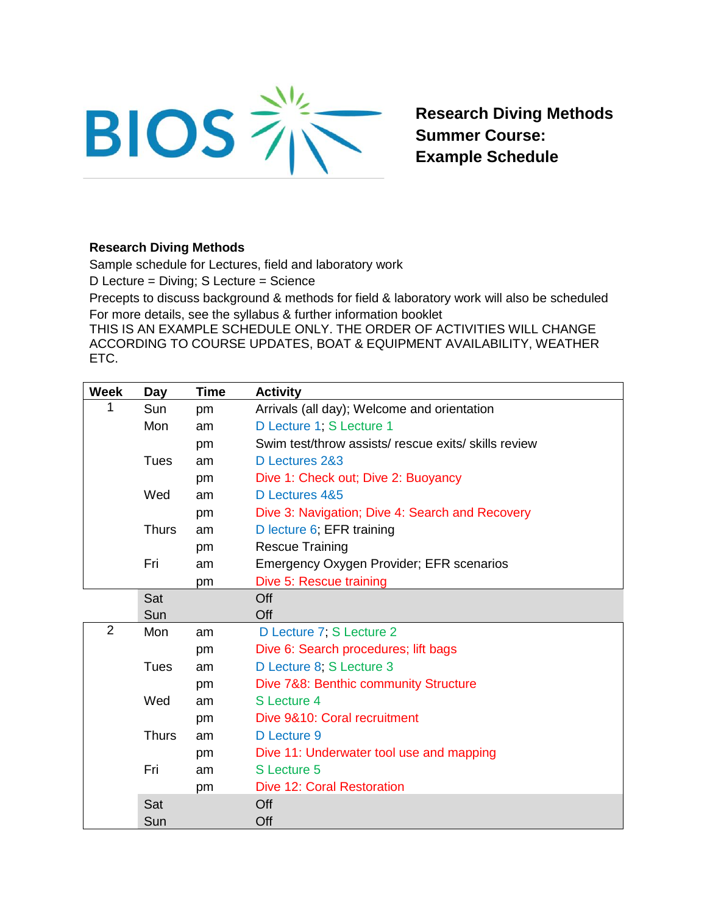

**Research Diving Methods Summer Course: Example Schedule**

## **Research Diving Methods**

Sample schedule for Lectures, field and laboratory work

D Lecture = Diving; S Lecture = Science

Precepts to discuss background & methods for field & laboratory work will also be scheduled For more details, see the syllabus & further information booklet

THIS IS AN EXAMPLE SCHEDULE ONLY. THE ORDER OF ACTIVITIES WILL CHANGE ACCORDING TO COURSE UPDATES, BOAT & EQUIPMENT AVAILABILITY, WEATHER ETC.

| <b>Week</b>    | Day          | Time | <b>Activity</b>                                      |
|----------------|--------------|------|------------------------------------------------------|
| 1              | Sun          | pm   | Arrivals (all day); Welcome and orientation          |
|                | Mon          | am   | D Lecture 1; S Lecture 1                             |
|                |              | pm   | Swim test/throw assists/ rescue exits/ skills review |
|                | Tues         | am   | D Lectures 2&3                                       |
|                |              | pm   | Dive 1: Check out; Dive 2: Buoyancy                  |
|                | Wed          | am   | D Lectures 4&5                                       |
|                |              | pm   | Dive 3: Navigation; Dive 4: Search and Recovery      |
|                | <b>Thurs</b> | am   | D lecture 6; EFR training                            |
|                |              | pm   | <b>Rescue Training</b>                               |
|                | Fri          | am   | <b>Emergency Oxygen Provider; EFR scenarios</b>      |
|                |              | pm   | Dive 5: Rescue training                              |
|                | Sat          |      | Off                                                  |
|                | Sun          |      | Off                                                  |
| $\overline{2}$ | Mon          | am   | D Lecture 7, S Lecture 2                             |
|                |              | pm   | Dive 6: Search procedures; lift bags                 |
|                | Tues         | am   | D Lecture 8; S Lecture 3                             |
|                |              | pm   | Dive 7&8: Benthic community Structure                |
|                | Wed          | am   | S Lecture 4                                          |
|                |              | pm   | Dive 9&10: Coral recruitment                         |
|                | <b>Thurs</b> | am   | D Lecture 9                                          |
|                |              | pm   | Dive 11: Underwater tool use and mapping             |
|                | Fri          | am   | S Lecture 5                                          |
|                |              | pm   | <b>Dive 12: Coral Restoration</b>                    |
|                | Sat          |      | Off                                                  |
|                | Sun          |      | Off                                                  |